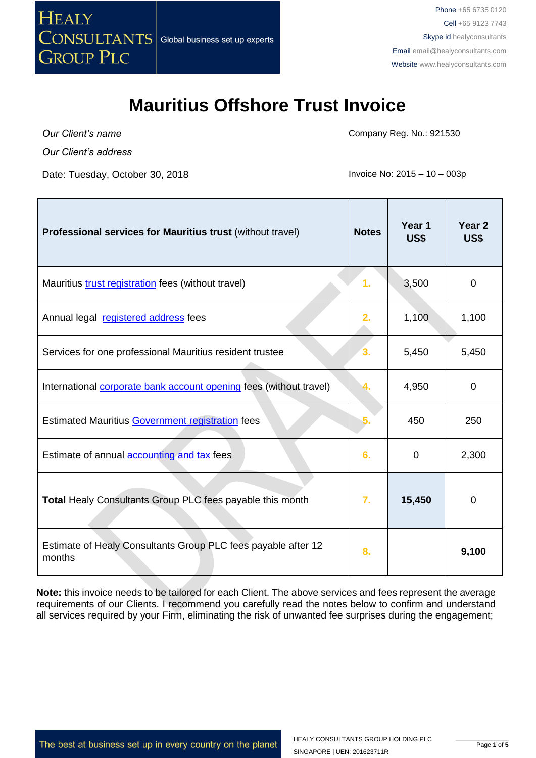

*Our Client's name Our Client's address*

Date: Tuesday, October 30, 2018 **Invoice No: 2015 – 10 – 003p** 

Company Reg. No.: 921530

| Professional services for Mauritius trust (without travel)                | <b>Notes</b>   | Year 1<br>US\$ | Year <sub>2</sub><br>US\$ |
|---------------------------------------------------------------------------|----------------|----------------|---------------------------|
| Mauritius trust registration fees (without travel)                        | $\mathbf{1}$ . | 3,500          | 0                         |
| Annual legal registered address fees                                      | 2.             | 1,100          | 1,100                     |
| Services for one professional Mauritius resident trustee                  | $\mathbf{3}$   | 5,450          | 5,450                     |
| International <b>corporate bank account opening</b> fees (without travel) |                | 4,950          | 0                         |
| <b>Estimated Mauritius Government registration fees</b>                   |                | 450            | 250                       |
| Estimate of annual <b>accounting and tax</b> fees                         | 6.             | $\Omega$       | 2,300                     |
| Total Healy Consultants Group PLC fees payable this month                 | 7.             | 15,450         | 0                         |
| Estimate of Healy Consultants Group PLC fees payable after 12<br>months   | 8.             |                | 9,100                     |

**Note:** this invoice needs to be tailored for each Client. The above services and fees represent the average requirements of our Clients. I recommend you carefully read the notes below to confirm and understand all services required by your Firm, eliminating the risk of unwanted fee surprises during the engagement;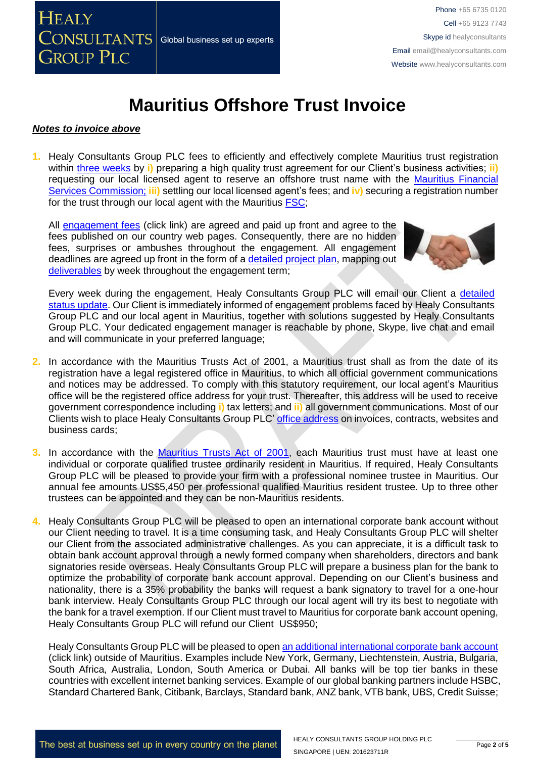#### *Notes to invoice above*

**1.** Healy Consultants Group PLC fees to efficiently and effectively complete Mauritius trust registration within three [weeks](http://www.healyconsultants.com/mauritius-company-registration/fees-timelines/) by *i*) preparing a high quality trust agreement for our Client's business activities; *ii*) requesting our local licensed agent to reserve an offshore trust name with the Mauritius [Financial](http://www.fscmauritius.org/)  [Services Commission;](http://www.fscmauritius.org/) **iii)** settling our local licensed agent's fees; and **iv)** securing a registration number for the trust through our local agent with the Mauritius [FSC;](http://www.fscmauritius.org/)

All [engagement fees](http://www.healyconsultants.com/company-registration-fees/) (click link) are agreed and paid up front and agree to the fees published on our country web pages. Consequently, there are no hidden fees, surprises or ambushes throughout the engagement. All engagement deadlines are agreed up front in the form of a [detailed project plan,](http://www.healyconsultants.com/index-important-links/example-project-plan/) mapping out [deliverables](http://www.healyconsultants.com/deliverables-to-our-clients/) by week throughout the engagement term;



Every week during the engagement, Healy Consultants Group PLC will email our Client a detailed [status update.](http://www.healyconsultants.com/index-important-links/weekly-engagement-status-email/) Our Client is immediately informed of engagement problems faced by Healy Consultants Group PLC and our local agent in Mauritius, together with solutions suggested by Healy Consultants Group PLC. Your dedicated engagement manager is reachable by phone, Skype, live chat and email and will communicate in your preferred language;

- **2.** In accordance with the Mauritius Trusts Act of 2001, a Mauritius trust shall as from the date of its registration have a legal registered office in Mauritius, to which all official government communications and notices may be addressed. To comply with this statutory requirement, our local agent's Mauritius office will be the registered office address for your trust. Thereafter, this address will be used to receive government correspondence including **i)** tax letters; and **ii)** all government communications. Most of our Clients wish to place Healy Consultants Group PLC[' office address](http://www.healyconsultants.com/corporate-outsourcing-services/company-secretary-and-legal-registered-office/) on invoices, contracts, websites and business cards;
- **3.** In accordance with the [Mauritius Trusts Act of 2001,](http://www.fscmauritius.org/media/61659/the-trusts-act-2001-amended-08.01.13cc.pdf) each Mauritius trust must have at least one individual or corporate qualified trustee ordinarily resident in Mauritius. If required, Healy Consultants Group PLC will be pleased to provide your firm with a professional nominee trustee in Mauritius. Our annual fee amounts US\$5,450 per professional qualified Mauritius resident trustee. Up to three other trustees can be appointed and they can be non-Mauritius residents.
- **4.** Healy Consultants Group PLC will be pleased to open an international corporate bank account without our Client needing to travel. It is a time consuming task, and Healy Consultants Group PLC will shelter our Client from the associated administrative challenges. As you can appreciate, it is a difficult task to obtain bank account approval through a newly formed company when shareholders, directors and bank signatories reside overseas. Healy Consultants Group PLC will prepare a business plan for the bank to optimize the probability of corporate bank account approval. Depending on our Client's business and nationality, there is a 35% probability the banks will request a bank signatory to travel for a one-hour bank interview. Healy Consultants Group PLC through our local agent will try its best to negotiate with the bank for a travel exemption. If our Client must travel to Mauritius for corporate bank account opening, Healy Consultants Group PLC will refund our Client US\$950;

Healy Consultants Group PLC will be pleased to ope[n an additional international corporate bank account](http://www.healyconsultants.com/international-banking/) (click link) outside of Mauritius. Examples include New York, Germany, Liechtenstein, Austria, Bulgaria, South Africa, Australia, London, South America or Dubai. All banks will be top tier banks in these countries with excellent internet banking services. Example of our global banking partners include HSBC, Standard Chartered Bank, Citibank, Barclays, Standard bank, ANZ bank, VTB bank, UBS, Credit Suisse;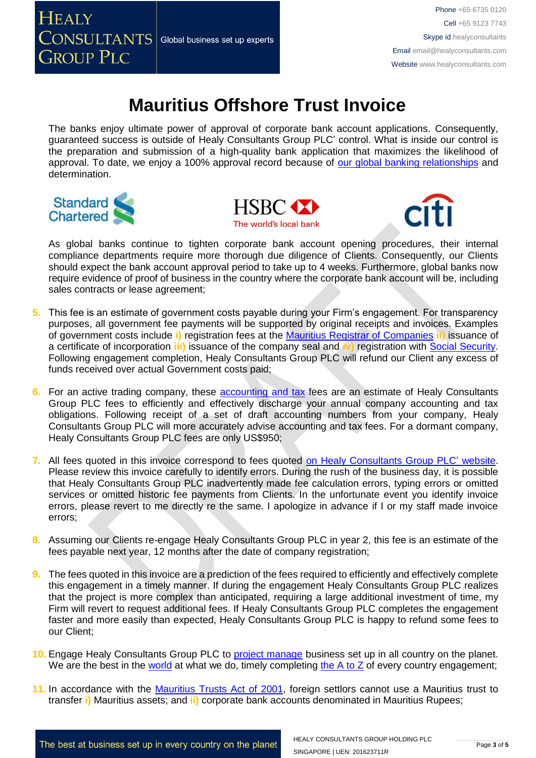The banks enjoy ultimate power of approval of corporate bank account applications. Consequently, guaranteed success is outside of Healy Consultants Group PLC' control. What is inside our control is the preparation and submission of a high-quality bank application that maximizes the likelihood of approval. To date, we enjoy a 100% approval record because of [our global banking relationships](http://www.healyconsultants.com/international-banking/corporate-accounts/) and determination.







As global banks continue to tighten corporate bank account opening procedures, their internal compliance departments require more thorough due diligence of Clients. Consequently, our Clients should expect the bank account approval period to take up to 4 weeks. Furthermore, global banks now require evidence of proof of business in the country where the corporate bank account will be, including sales contracts or lease agreement;

- **5.** This fee is an estimate of government costs payable during your Firm's engagement. For transparency purposes, all government fee payments will be supported by original receipts and invoices. Examples of government costs include **i)** registration fees at the [Mauritius Registrar of Companies](http://mns.mu/cbris-companies.php) **ii)** issuance of a certificate of incorporation **iii)** issuance of the company seal and **iv)** registration with [Social Security.](file:///D:/AppData/Local/Microsoft/Windows/INetCache/Content.Outlook/XRFLDTO1/socialsecurity.gov.mu/) Following engagement completion, Healy Consultants Group PLC will refund our Client any excess of funds received over actual Government costs paid;
- **6.** For an active trading company, these [accounting and tax](http://www.healyconsultants.com/mauritius-company-registration/accounting-legal/) fees are an estimate of Healy Consultants Group PLC fees to efficiently and effectively discharge your annual company accounting and tax obligations. Following receipt of a set of draft accounting numbers from your company, Healy Consultants Group PLC will more accurately advise accounting and tax fees. For a dormant company, Healy Consultants Group PLC fees are only US\$950;
- **7.** All fees quoted in this invoice correspond to fees quoted [on Healy Consultants Group PLC' website.](http://www.healyconsultants.com/company-registration-fees/) Please review this invoice carefully to identify errors. During the rush of the business day, it is possible that Healy Consultants Group PLC inadvertently made fee calculation errors, typing errors or omitted services or omitted historic fee payments from Clients. In the unfortunate event you identify invoice errors, please revert to me directly re the same. I apologize in advance if I or my staff made invoice errors;
- **8.** Assuming our Clients re-engage Healy Consultants Group PLC in year 2, this fee is an estimate of the fees payable next year, 12 months after the date of company registration;
- **9.** The fees quoted in this invoice are a prediction of the fees required to efficiently and effectively complete this engagement in a timely manner. If during the engagement Healy Consultants Group PLC realizes that the project is more complex than anticipated, requiring a large additional investment of time, my Firm will revert to request additional fees. If Healy Consultants Group PLC completes the engagement faster and more easily than expected, Healy Consultants Group PLC is happy to refund some fees to our Client;
- **10.** Engage Healy Consultants Group PLC to [project manage](http://www.healyconsultants.com/project-manage-engagements/) business set up in all country on the planet. We are the best in the [world](http://www.healyconsultants.com/best-in-the-world/) at what we do, timely completing [the A to Z](http://www.healyconsultants.com/a-to-z-of-business-set-up/) of every country engagement;
- **11.** In accordance with the [Mauritius Trusts Act of 2001,](http://www.fscmauritius.org/media/61659/the-trusts-act-2001-amended-08.01.13cc.pdf) foreign settlors cannot use a Mauritius trust to transfer **i)** Mauritius assets; and **ii)** corporate bank accounts denominated in Mauritius Rupees;

The best at business set up in every country on the planet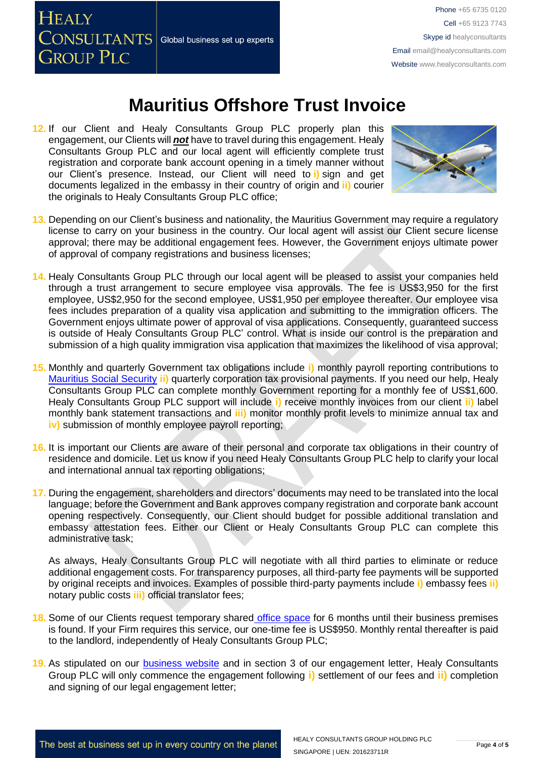**HEALY**  $\overline{\text{CONSULTANTS}}\vert$  Global business set up experts **GROUP PLC** 

## **Mauritius Offshore Trust Invoice**

**12.** If our Client and Healy Consultants Group PLC properly plan this engagement, our Clients will *not* have to travel during this engagement. Healy Consultants Group PLC and our local agent will efficiently complete trust registration and corporate bank account opening in a timely manner without our Client's presence. Instead, our Client will need to **i)** sign and get documents legalized in the embassy in their country of origin and **ii)** courier the originals to Healy Consultants Group PLC office;



- **13.** Depending on our Client's business and nationality, the Mauritius Government may require a regulatory license to carry on your business in the country. Our local agent will assist our Client secure license approval; there may be additional engagement fees. However, the Government enjoys ultimate power of approval of company registrations and business licenses;
- **14.** Healy Consultants Group PLC through our local agent will be pleased to assist your companies held through a trust arrangement to secure employee visa approvals. The fee is US\$3,950 for the first employee, US\$2,950 for the second employee, US\$1,950 per employee thereafter. Our employee visa fees includes preparation of a quality visa application and submitting to the immigration officers. The Government enjoys ultimate power of approval of visa applications. Consequently, guaranteed success is outside of Healy Consultants Group PLC' control. What is inside our control is the preparation and submission of a high quality immigration visa application that maximizes the likelihood of visa approval;
- **15.** Monthly and quarterly Government tax obligations include **i)** monthly payroll reporting contributions to [Mauritius Social Security](file:///D:/AppData/Local/Microsoft/Windows/INetCache/Content.Outlook/XRFLDTO1/socialsecurity.gov.mu/) **ii)** quarterly corporation tax provisional payments. If you need our help, Healy Consultants Group PLC can complete monthly Government reporting for a monthly fee of US\$1,600. Healy Consultants Group PLC support will include **i)** receive monthly invoices from our client **ii)** label monthly bank statement transactions and **iii)** monitor monthly profit levels to minimize annual tax and **iv)** submission of monthly employee payroll reporting;
- **16.** It is important our Clients are aware of their personal and corporate tax obligations in their country of residence and domicile. Let us know if you need Healy Consultants Group PLC help to clarify your local and international annual tax reporting obligations;
- **17.** During the engagement, shareholders and directors' documents may need to be translated into the local language; before the Government and Bank approves company registration and corporate bank account opening respectively. Consequently, our Client should budget for possible additional translation and embassy attestation fees. Either our Client or Healy Consultants Group PLC can complete this administrative task;

As always, Healy Consultants Group PLC will negotiate with all third parties to eliminate or reduce additional engagement costs. For transparency purposes, all third-party fee payments will be supported by original receipts and invoices. Examples of possible third-party payments include **i)** embassy fees **ii)** notary public costs **iii)** official translator fees;

- 18. Some of our Clients request temporary shared [office space](http://www.healyconsultants.com/virtual-office/) for 6 months until their business premises is found. If your Firm requires this service, our one-time fee is US\$950. Monthly rental thereafter is paid to the landlord, independently of Healy Consultants Group PLC;
- **19.** As stipulated on our [business website](http://www.healyconsultants.com/) and in section 3 of our engagement letter, Healy Consultants Group PLC will only commence the engagement following **i)** settlement of our fees and **ii)** completion and signing of our legal engagement letter;

The best at business set up in every country on the planet